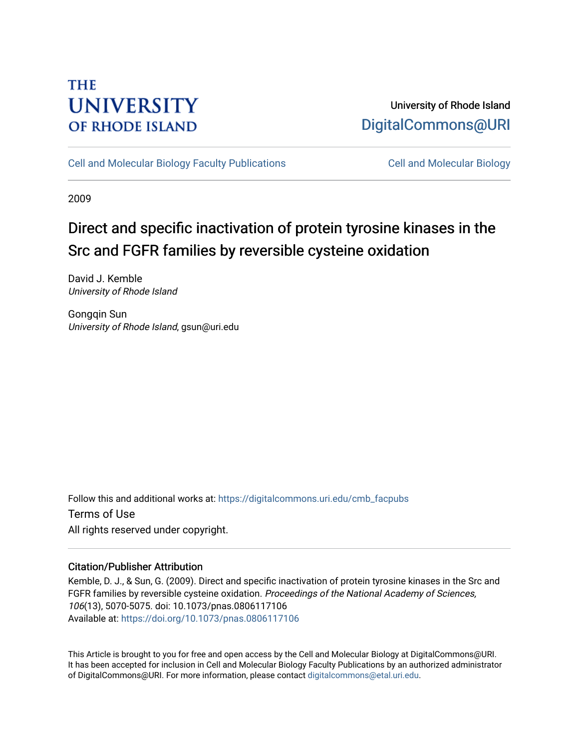## **THE UNIVERSITY OF RHODE ISLAND**

### University of Rhode Island [DigitalCommons@URI](https://digitalcommons.uri.edu/)

[Cell and Molecular Biology Faculty Publications](https://digitalcommons.uri.edu/cmb_facpubs) [Cell and Molecular Biology](https://digitalcommons.uri.edu/cmb) 

2009

# Direct and specific inactivation of protein tyrosine kinases in the Src and FGFR families by reversible cysteine oxidation

David J. Kemble University of Rhode Island

Gongqin Sun University of Rhode Island, gsun@uri.edu

Follow this and additional works at: [https://digitalcommons.uri.edu/cmb\\_facpubs](https://digitalcommons.uri.edu/cmb_facpubs?utm_source=digitalcommons.uri.edu%2Fcmb_facpubs%2F63&utm_medium=PDF&utm_campaign=PDFCoverPages)  Terms of Use All rights reserved under copyright.

### Citation/Publisher Attribution

Kemble, D. J., & Sun, G. (2009). Direct and specific inactivation of protein tyrosine kinases in the Src and FGFR families by reversible cysteine oxidation. Proceedings of the National Academy of Sciences, 106(13), 5070-5075. doi: 10.1073/pnas.0806117106 Available at:<https://doi.org/10.1073/pnas.0806117106>

This Article is brought to you for free and open access by the Cell and Molecular Biology at DigitalCommons@URI. It has been accepted for inclusion in Cell and Molecular Biology Faculty Publications by an authorized administrator of DigitalCommons@URI. For more information, please contact [digitalcommons@etal.uri.edu](mailto:digitalcommons@etal.uri.edu).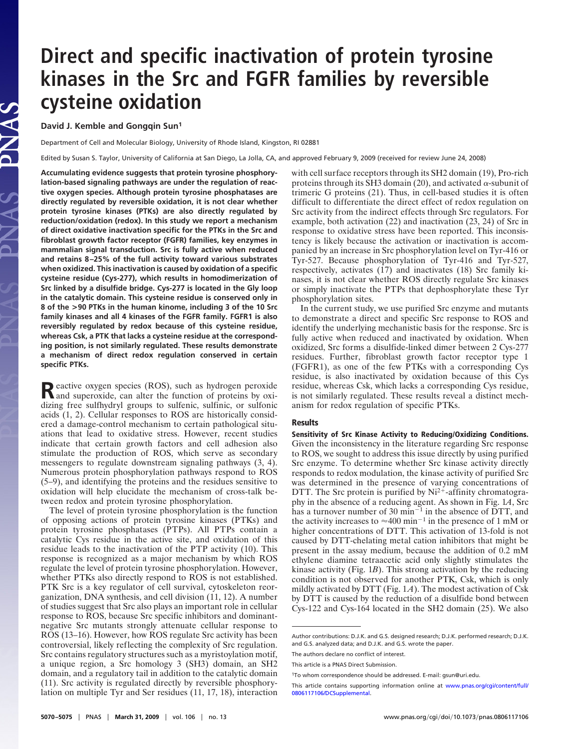# **Direct and specific inactivation of protein tyrosine kinases in the Src and FGFR families by reversible cysteine oxidation**

**David J. Kemble and Gongqin Sun1**

Department of Cell and Molecular Biology, University of Rhode Island, Kingston, RI 02881

Edited by Susan S. Taylor, University of California at San Diego, La Jolla, CA, and approved February 9, 2009 (received for review June 24, 2008)

**Accumulating evidence suggests that protein tyrosine phosphorylation-based signaling pathways are under the regulation of reactive oxygen species. Although protein tyrosine phosphatases are directly regulated by reversible oxidation, it is not clear whether protein tyrosine kinases (PTKs) are also directly regulated by reduction/oxidation (redox). In this study we report a mechanism of direct oxidative inactivation specific for the PTKs in the Src and fibroblast growth factor receptor (FGFR) families, key enzymes in mammalian signal transduction. Src is fully active when reduced and retains 8 –25% of the full activity toward various substrates when oxidized. This inactivation is caused by oxidation of a specific cysteine residue (Cys-277), which results in homodimerization of Src linked by a disulfide bridge. Cys-277 is located in the Gly loop in the catalytic domain. This cysteine residue is conserved only in 8 of the >90 PTKs in the human kinome, including 3 of the 10 Src family kinases and all 4 kinases of the FGFR family. FGFR1 is also reversibly regulated by redox because of this cysteine residue, whereas Csk, a PTK that lacks a cysteine residue at the corresponding position, is not similarly regulated. These results demonstrate a mechanism of direct redox regulation conserved in certain specific PTKs.**

**Reactive oxygen species (ROS), such as hydrogen peroxide**<br>and superoxide, can alter the function of proteins by oxidizing free sulfhydryl groups to sulfenic, sulfinic, or sulfonic acids (1, 2). Cellular responses to ROS are historically considered a damage-control mechanism to certain pathological situations that lead to oxidative stress. However, recent studies indicate that certain growth factors and cell adhesion also stimulate the production of ROS, which serve as secondary messengers to regulate downstream signaling pathways (3, 4). Numerous protein phosphorylation pathways respond to ROS (5–9), and identifying the proteins and the residues sensitive to oxidation will help elucidate the mechanism of cross-talk between redox and protein tyrosine phosphorylation.

The level of protein tyrosine phosphorylation is the function of opposing actions of protein tyrosine kinases (PTKs) and protein tyrosine phosphatases (PTPs). All PTPs contain a catalytic Cys residue in the active site, and oxidation of this residue leads to the inactivation of the PTP activity (10). This response is recognized as a major mechanism by which ROS regulate the level of protein tyrosine phosphorylation. However, whether PTKs also directly respond to ROS is not established. PTK Src is a key regulator of cell survival, cytoskeleton reorganization, DNA synthesis, and cell division (11, 12). A number of studies suggest that Src also plays an important role in cellular response to ROS, because Src specific inhibitors and dominantnegative Src mutants strongly attenuate cellular response to ROS (13–16). However, how ROS regulate Src activity has been controversial, likely reflecting the complexity of Src regulation. Src contains regulatory structures such as a myristoylation motif, a unique region, a Src homology 3 (SH3) domain, an SH2 domain, and a regulatory tail in addition to the catalytic domain (11). Src activity is regulated directly by reversible phosphorylation on multiple Tyr and Ser residues (11, 17, 18), interaction

with cell surface receptors through its SH2 domain (19), Pro-rich proteins through its SH3 domain (20), and activated  $\alpha$ -subunit of trimeric G proteins (21). Thus, in cell-based studies it is often difficult to differentiate the direct effect of redox regulation on Src activity from the indirect effects through Src regulators. For example, both activation (22) and inactivation (23, 24) of Src in response to oxidative stress have been reported. This inconsistency is likely because the activation or inactivation is accompanied by an increase in Src phosphorylation level on Tyr-416 or Tyr-527. Because phosphorylation of Tyr-416 and Tyr-527, respectively, activates (17) and inactivates (18) Src family kinases, it is not clear whether ROS directly regulate Src kinases or simply inactivate the PTPs that dephosphorylate these Tyr phosphorylation sites.

In the current study, we use purified Src enzyme and mutants to demonstrate a direct and specific Src response to ROS and identify the underlying mechanistic basis for the response. Src is fully active when reduced and inactivated by oxidation. When oxidized, Src forms a disulfide-linked dimer between 2 Cys-277 residues. Further, fibroblast growth factor receptor type 1 (FGFR1), as one of the few PTKs with a corresponding Cys residue, is also inactivated by oxidation because of this Cys residue, whereas Csk, which lacks a corresponding Cys residue, is not similarly regulated. These results reveal a distinct mechanism for redox regulation of specific PTKs.

### **Results**

**Sensitivity of Src Kinase Activity to Reducing/Oxidizing Conditions.** Given the inconsistency in the literature regarding Src response to ROS, we sought to address this issue directly by using purified Src enzyme. To determine whether Src kinase activity directly responds to redox modulation, the kinase activity of purified Src was determined in the presence of varying concentrations of DTT. The Src protein is purified by  $Ni^{2+}$ -affinity chromatography in the absence of a reducing agent. As shown in Fig. 1*A*, Src has a turnover number of 30  $\text{min}^{-1}$  in the absence of DTT, and the activity increases to  $\approx 400$  min<sup>-1</sup> in the presence of 1 mM or higher concentrations of DTT. This activation of 13-fold is not caused by DTT-chelating metal cation inhibitors that might be present in the assay medium, because the addition of 0.2 mM ethylene diamine tetraacetic acid only slightly stimulates the kinase activity (Fig. 1*B*). This strong activation by the reducing condition is not observed for another PTK, Csk, which is only mildly activated by DTT (Fig. 1*A*). The modest activation of Csk by DTT is caused by the reduction of a disulfide bond between Cys-122 and Cys-164 located in the SH2 domain (25). We also

Author contributions: D.J.K. and G.S. designed research; D.J.K. performed research; D.J.K. and G.S. analyzed data; and D.J.K. and G.S. wrote the paper.

The authors declare no conflict of interest.

This article is a PNAS Direct Submission.

<sup>1</sup>To whom correspondence should be addressed. E-mail: gsun@uri.edu.

This article contains supporting information online at [www.pnas.org/cgi/content/full/](http://www.pnas.org/cgi/content/full/0806117106/DCSupplemental) [0806117106/DCSupplemental.](http://www.pnas.org/cgi/content/full/0806117106/DCSupplemental)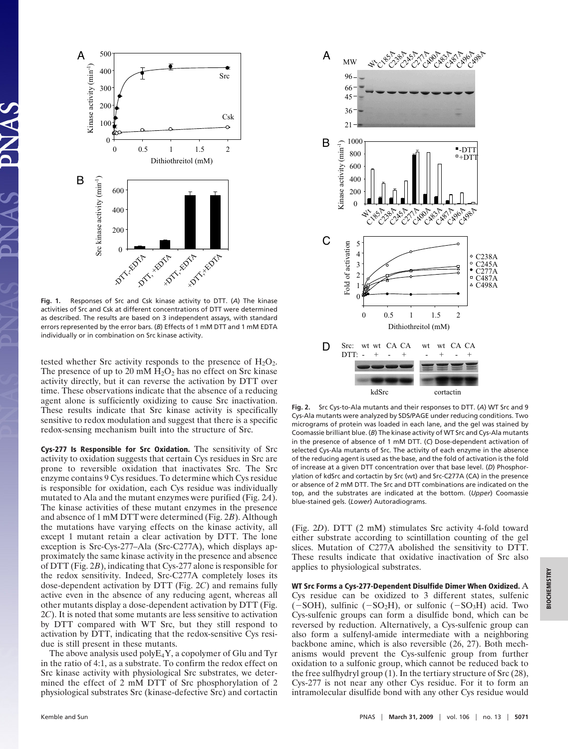

**Fig. 1.** Responses of Src and Csk kinase activity to DTT. (*A*) The kinase activities of Src and Csk at different concentrations of DTT were determined as described. The results are based on 3 independent assays, with standard errors represented by the error bars. (*B*) Effects of 1 mM DTT and 1 mM EDTA individually or in combination on Src kinase activity.

tested whether Src activity responds to the presence of  $H_2O_2$ . The presence of up to 20 mM  $H_2O_2$  has no effect on Src kinase activity directly, but it can reverse the activation by DTT over time. These observations indicate that the absence of a reducing agent alone is sufficiently oxidizing to cause Src inactivation. These results indicate that Src kinase activity is specifically sensitive to redox modulation and suggest that there is a specific redox-sensing mechanism built into the structure of Src.

**Cys-277 Is Responsible for Src Oxidation.** The sensitivity of Src activity to oxidation suggests that certain Cys residues in Src are prone to reversible oxidation that inactivates Src. The Src enzyme contains 9 Cys residues. To determine which Cys residue is responsible for oxidation, each Cys residue was individually mutated to Ala and the mutant enzymes were purified (Fig. 2*A*). The kinase activities of these mutant enzymes in the presence and absence of 1 mM DTT were determined (Fig. 2*B*). Although the mutations have varying effects on the kinase activity, all except 1 mutant retain a clear activation by DTT. The lone exception is Src-Cys-277–Ala (Src-C277A), which displays approximately the same kinase activity in the presence and absence of DTT (Fig. 2*B*), indicating that Cys-277 alone is responsible for the redox sensitivity. Indeed, Src-C277A completely loses its dose-dependent activation by DTT (Fig. 2*C*) and remains fully active even in the absence of any reducing agent, whereas all other mutants display a dose-dependent activation by DTT (Fig. 2*C*). It is noted that some mutants are less sensitive to activation by DTT compared with WT Src, but they still respond to activation by DTT, indicating that the redox-sensitive Cys residue is still present in these mutants.

The above analysis used poly $E_4Y$ , a copolymer of Glu and Tyr in the ratio of 4:1, as a substrate. To confirm the redox effect on Src kinase activity with physiological Src substrates, we determined the effect of 2 mM DTT of Src phosphorylation of 2 physiological substrates Src (kinase-defective Src) and cortactin



**Fig. 2.** Src Cys-to-Ala mutants and their responses to DTT. (*A*) WT Src and 9 Cys-Ala mutants were analyzed by SDS/PAGE under reducing conditions. Two micrograms of protein was loaded in each lane, and the gel was stained by Coomassie brilliant blue. (*B*) The kinase activity of WT Src and Cys-Ala mutants in the presence of absence of 1 mM DTT. (*C*) Dose-dependent activation of selected Cys-Ala mutants of Src. The activity of each enzyme in the absence of the reducing agent is used as the base, and the fold of activation is the fold of increase at a given DTT concentration over that base level. (*D*) Phosphorylation of kdSrc and cortactin by Src (wt) and Src-C277A (CA) in the presence or absence of 2 mM DTT. The Src and DTT combinations are indicated on the top, and the substrates are indicated at the bottom. (*Upper*) Coomassie blue-stained gels. (*Lower*) Autoradiograms.

(Fig. 2*D*). DTT (2 mM) stimulates Src activity 4-fold toward either substrate according to scintillation counting of the gel slices. Mutation of C277A abolished the sensitivity to DTT. These results indicate that oxidative inactivation of Src also applies to physiological substrates.

**WT Src Forms a Cys-277-Dependent Disulfide Dimer When Oxidized.** A Cys residue can be oxidized to 3 different states, sulfenic  $(-SOH)$ , sulfinic  $(-SO<sub>2</sub>H)$ , or sulfonic  $(-SO<sub>3</sub>H)$  acid. Two Cys-sulfenic groups can form a disulfide bond, which can be reversed by reduction. Alternatively, a Cys-sulfenic group can also form a sulfenyl-amide intermediate with a neighboring backbone amine, which is also reversible (26, 27). Both mechanisms would prevent the Cys-sulfenic group from further oxidation to a sulfonic group, which cannot be reduced back to the free sulfhydryl group (1). In the tertiary structure of Src (28), Cys-277 is not near any other Cys residue. For it to form an intramolecular disulfide bond with any other Cys residue would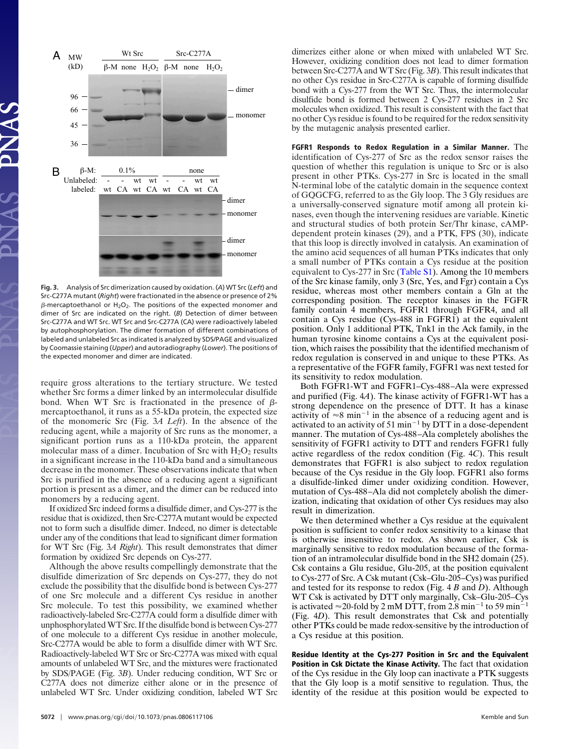

**Fig. 3.** Analysis of Src dimerization caused by oxidation. (*A*) WT Src (*Left*) and Src-C277A mutant (*Right*) were fractionated in the absence or presence of 2%  $\beta$ -mercaptoethanol or H $_2$ O $_2$ . The positions of the expected monomer and dimer of Src are indicated on the right. (*B*) Detection of dimer between Src-C277A and WT Src. WT Src and Src-C277A (CA) were radioactively labeled by autophosphorylation. The dimer formation of different combinations of labeled and unlabeled Src as indicated is analyzed by SDS/PAGE and visualized by Coomassie staining (*Upper*) and autoradiography (*Lower*). The positions of the expected monomer and dimer are indicated.

require gross alterations to the tertiary structure. We tested whether Src forms a dimer linked by an intermolecular disulfide bond. When WT Src is fractionated in the presence of  $\beta$ mercaptoethanol, it runs as a 55-kDa protein, the expected size of the monomeric Src (Fig. 3*A Left*). In the absence of the reducing agent, while a majority of Src runs as the monomer, a significant portion runs as a 110-kDa protein, the apparent molecular mass of a dimer. Incubation of Src with  $H_2O_2$  results in a significant increase in the 110-kDa band and a simultaneous decrease in the monomer. These observations indicate that when Src is purified in the absence of a reducing agent a significant portion is present as a dimer, and the dimer can be reduced into monomers by a reducing agent.

If oxidized Src indeed forms a disulfide dimer, and Cys-277 is the residue that is oxidized, then Src-C277A mutant would be expected not to form such a disulfide dimer. Indeed, no dimer is detectable under any of the conditions that lead to significant dimer formation for WT Src (Fig. 3*A Right*). This result demonstrates that dimer formation by oxidized Src depends on Cys-277.

Although the above results compellingly demonstrate that the disulfide dimerization of Src depends on Cys-277, they do not exclude the possibility that the disulfide bond is between Cys-277 of one Src molecule and a different Cys residue in another Src molecule. To test this possibility, we examined whether radioactively-labeled Src-C277A could form a disulfide dimer with unphosphorylated WT Src. If the disulfide bond is between Cys-277 of one molecule to a different Cys residue in another molecule, Src-C277A would be able to form a disulfide dimer with WT Src. Radioactively-labeled WT Src or Src-C277A was mixed with equal amounts of unlabeled WT Src, and the mixtures were fractionated by SDS/PAGE (Fig. 3*B*). Under reducing condition, WT Src or C277A does not dimerize either alone or in the presence of unlabeled WT Src. Under oxidizing condition, labeled WT Src dimerizes either alone or when mixed with unlabeled WT Src. However, oxidizing condition does not lead to dimer formation between Src-C277A and WT Src (Fig. 3*B*). This result indicates that no other Cys residue in Src-C277A is capable of forming disulfide bond with a Cys-277 from the WT Src. Thus, the intermolecular disulfide bond is formed between 2 Cys-277 residues in 2 Src molecules when oxidized. This result is consistent with the fact that no other Cys residue is found to be required for the redox sensitivity by the mutagenic analysis presented earlier.

**FGFR1 Responds to Redox Regulation in a Similar Manner.** The identification of Cys-277 of Src as the redox sensor raises the question of whether this regulation is unique to Src or is also present in other PTKs. Cys-277 in Src is located in the small N-terminal lobe of the catalytic domain in the sequence context of GQGCFG, referred to as the Gly loop. The 3 Gly residues are a universally-conserved signature motif among all protein kinases, even though the intervening residues are variable. Kinetic and structural studies of both protein Ser/Thr kinase, cAMPdependent protein kinases (29), and a PTK, FPS (30), indicate that this loop is directly involved in catalysis. An examination of the amino acid sequences of all human PTKs indicates that only a small number of PTKs contain a Cys residue at the position equivalent to Cys-277 in Src [\(Table S1\)](http://www.pnas.org/cgi/data/0806117106/DCSupplemental/Supplemental_PDF#nameddest=ST1). Among the 10 members of the Src kinase family, only 3 (Src, Yes, and Fgr) contain a Cys residue, whereas most other members contain a Gln at the corresponding position. The receptor kinases in the FGFR family contain 4 members, FGFR1 through FGFR4, and all contain a Cys residue (Cys-488 in FGFR1) at the equivalent position. Only 1 additional PTK, Tnk1 in the Ack family, in the human tyrosine kinome contains a Cys at the equivalent position, which raises the possibility that the identified mechanism of redox regulation is conserved in and unique to these PTKs. As a representative of the FGFR family, FGFR1 was next tested for its sensitivity to redox modulation.

Both FGFR1-WT and FGFR1–Cys-488–Ala were expressed and purified (Fig. 4*A*). The kinase activity of FGFR1-WT has a strong dependence on the presence of DTT. It has a kinase activity of  $\approx 8$  min<sup>-1</sup> in the absence of a reducing agent and is activated to an activity of 51 min<sup>-1</sup> by DTT in a dose-dependent manner. The mutation of Cys-488–Ala completely abolishes the sensitivity of FGFR1 activity to DTT and renders FGFR1 fully active regardless of the redox condition (Fig. 4*C*). This result demonstrates that FGFR1 is also subject to redox regulation because of the Cys residue in the Gly loop. FGFR1 also forms a disulfide-linked dimer under oxidizing condition. However, mutation of Cys-488–Ala did not completely abolish the dimerization, indicating that oxidation of other Cys residues may also result in dimerization.

We then determined whether a Cys residue at the equivalent position is sufficient to confer redox sensitivity to a kinase that is otherwise insensitive to redox. As shown earlier, Csk is marginally sensitive to redox modulation because of the formation of an intramolecular disulfide bond in the SH2 domain (25). Csk contains a Glu residue, Glu-205, at the position equivalent to Cys-277 of Src. A Csk mutant (Csk–Glu-205–Cys) was purified and tested for its response to redox (Fig. 4 *B* and *D*). Although WT Csk is activated by DTT only marginally, Csk–Glu-205–Cys is activated  $\approx$  20-fold by 2 mM DTT, from 2.8 min<sup>-1</sup> to 59 min<sup>-1</sup> (Fig. 4*D*). This result demonstrates that Csk and potentially other PTKs could be made redox-sensitive by the introduction of a Cys residue at this position.

**Residue Identity at the Cys-277 Position in Src and the Equivalent Position in Csk Dictate the Kinase Activity.** The fact that oxidation of the Cys residue in the Gly loop can inactivate a PTK suggests that the Gly loop is a motif sensitive to regulation. Thus, the identity of the residue at this position would be expected to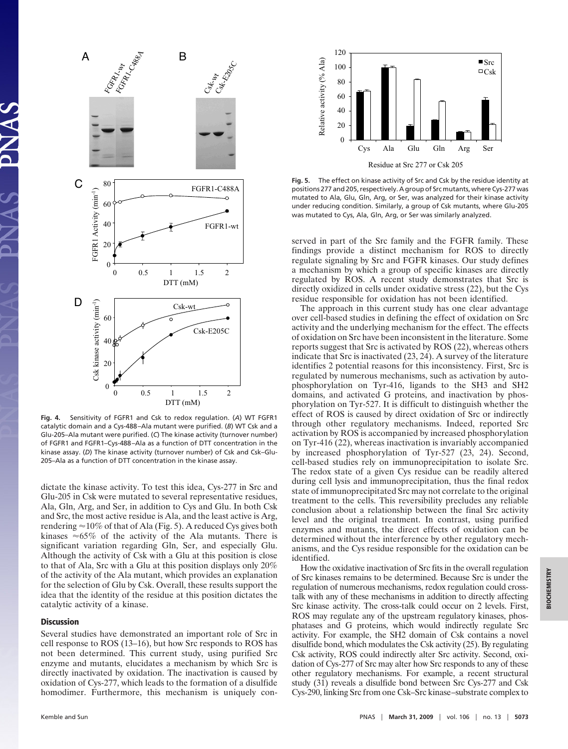

**Fig. 4.** Sensitivity of FGFR1 and Csk to redox regulation. (*A*) WT FGFR1 catalytic domain and a Cys-488 –Ala mutant were purified. (*B*) WT Csk and a Glu-205–Ala mutant were purified. (*C*) The kinase activity (turnover number) of FGFR1 and FGFR1–Cys-488 –Ala as a function of DTT concentration in the kinase assay. (*D*) The kinase activity (turnover number) of Csk and Csk–Glu-205–Ala as a function of DTT concentration in the kinase assay.

dictate the kinase activity. To test this idea, Cys-277 in Src and Glu-205 in Csk were mutated to several representative residues, Ala, Gln, Arg, and Ser, in addition to Cys and Glu. In both Csk and Src, the most active residue is Ala, and the least active is Arg, rendering  $\approx$  10% of that of Ala (Fig. 5). A reduced Cys gives both kinases  $\approx 65\%$  of the activity of the Ala mutants. There is significant variation regarding Gln, Ser, and especially Glu. Although the activity of Csk with a Glu at this position is close to that of Ala, Src with a Glu at this position displays only 20% of the activity of the Ala mutant, which provides an explanation for the selection of Glu by Csk. Overall, these results support the idea that the identity of the residue at this position dictates the catalytic activity of a kinase.

### **Discussion**

Several studies have demonstrated an important role of Src in cell response to ROS (13–16), but how Src responds to ROS has not been determined. This current study, using purified Src enzyme and mutants, elucidates a mechanism by which Src is directly inactivated by oxidation. The inactivation is caused by oxidation of Cys-277, which leads to the formation of a disulfide homodimer. Furthermore, this mechanism is uniquely con-



**Fig. 5.** The effect on kinase activity of Src and Csk by the residue identity at positions 277 and 205, respectively. A group of Src mutants, where Cys-277 was mutated to Ala, Glu, Gln, Arg, or Ser, was analyzed for their kinase activity under reducing condition. Similarly, a group of Csk mutants, where Glu-205 was mutated to Cys, Ala, Gln, Arg, or Ser was similarly analyzed.

served in part of the Src family and the FGFR family. These findings provide a distinct mechanism for ROS to directly regulate signaling by Src and FGFR kinases. Our study defines a mechanism by which a group of specific kinases are directly regulated by ROS. A recent study demonstrates that Src is directly oxidized in cells under oxidative stress (22), but the Cys residue responsible for oxidation has not been identified.

The approach in this current study has one clear advantage over cell-based studies in defining the effect of oxidation on Src activity and the underlying mechanism for the effect. The effects of oxidation on Src have been inconsistent in the literature. Some reports suggest that Src is activated by ROS (22), whereas others indicate that Src is inactivated (23, 24). A survey of the literature identifies 2 potential reasons for this inconsistency. First, Src is regulated by numerous mechanisms, such as activation by autophosphorylation on Tyr-416, ligands to the SH3 and SH2 domains, and activated G proteins, and inactivation by phosphorylation on Tyr-527. It is difficult to distinguish whether the effect of ROS is caused by direct oxidation of Src or indirectly through other regulatory mechanisms. Indeed, reported Src activation by ROS is accompanied by increased phosphorylation on Tyr-416 (22), whereas inactivation is invariably accompanied by increased phosphorylation of Tyr-527 (23, 24). Second, cell-based studies rely on immunoprecipitation to isolate Src. The redox state of a given Cys residue can be readily altered during cell lysis and immunoprecipitation, thus the final redox state of immunoprecipitated Src may not correlate to the original treatment to the cells. This reversibility precludes any reliable conclusion about a relationship between the final Src activity level and the original treatment. In contrast, using purified enzymes and mutants, the direct effects of oxidation can be determined without the interference by other regulatory mechanisms, and the Cys residue responsible for the oxidation can be identified.

How the oxidative inactivation of Src fits in the overall regulation of Src kinases remains to be determined. Because Src is under the regulation of numerous mechanisms, redox regulation could crosstalk with any of these mechanisms in addition to directly affecting Src kinase activity. The cross-talk could occur on 2 levels. First, ROS may regulate any of the upstream regulatory kinases, phosphatases and G proteins, which would indirectly regulate Src activity. For example, the SH2 domain of Csk contains a novel disulfide bond, which modulates the Csk activity (25). By regulating Csk activity, ROS could indirectly alter Src activity. Second, oxidation of Cys-277 of Src may alter how Src responds to any of these other regulatory mechanisms. For example, a recent structural study (31) reveals a disulfide bond between Src Cys-277 and Csk Cys-290, linking Src from one Csk–Src kinase–substrate complex to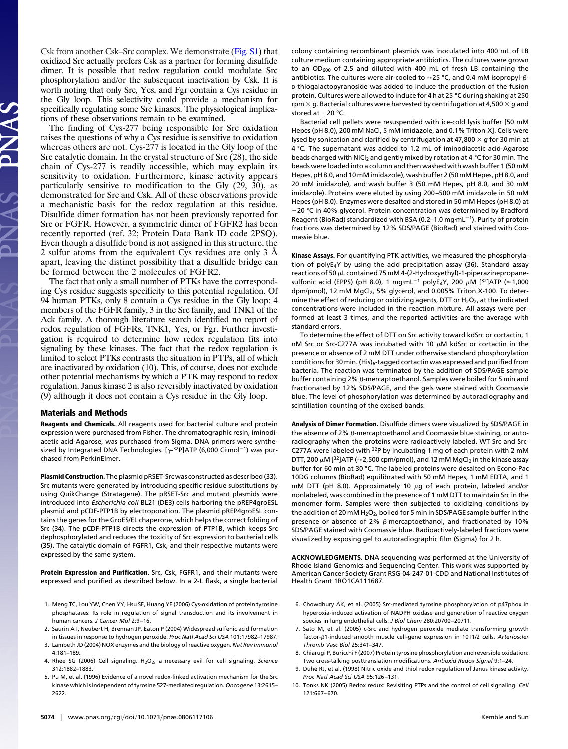Csk from another Csk–Src complex. We demonstrate [\(Fig. S1\)](http://www.pnas.org/cgi/data/0806117106/DCSupplemental/Supplemental_PDF#nameddest=SF1) that oxidized Src actually prefers Csk as a partner for forming disulfide dimer. It is possible that redox regulation could modulate Src phosphorylation and/or the subsequent inactivation by Csk. It is worth noting that only Src, Yes, and Fgr contain a Cys residue in the Gly loop. This selectivity could provide a mechanism for specifically regulating some Src kinases. The physiological implications of these observations remain to be examined.

The finding of Cys-277 being responsible for Src oxidation raises the questions of why a Cys residue is sensitive to oxidation whereas others are not. Cys-277 is located in the Gly loop of the Src catalytic domain. In the crystal structure of Src (28), the side chain of Cys-277 is readily accessible, which may explain its sensitivity to oxidation. Furthermore, kinase activity appears particularly sensitive to modification to the Gly (29, 30), as demonstrated for Src and Csk. All of these observations provide a mechanistic basis for the redox regulation at this residue. Disulfide dimer formation has not been previously reported for Src or FGFR. However, a symmetric dimer of FGFR2 has been recently reported (ref. 32; Protein Data Bank ID code 2PSQ). Even though a disulfide bond is not assigned in this structure, the 2 sulfur atoms from the equivalent Cys residues are only 3 Å apart, leaving the distinct possibility that a disulfide bridge can be formed between the 2 molecules of FGFR2.

The fact that only a small number of PTKs have the corresponding Cys residue suggests specificity to this potential regulation. Of 94 human PTKs, only 8 contain a Cys residue in the Gly loop: 4 members of the FGFR family, 3 in the Src family, and TNK1 of the Ack family. A thorough literature search identified no report of redox regulation of FGFRs, TNK1, Yes, or Fgr. Further investigation is required to determine how redox regulation fits into signaling by these kinases. The fact that the redox regulation is limited to select PTKs contrasts the situation in PTPs, all of which are inactivated by oxidation (10). This, of course, does not exclude other potential mechanisms by which a PTK may respond to redox regulation. Janus kinase 2 is also reversibly inactivated by oxidation (9) although it does not contain a Cys residue in the Gly loop.

#### **Materials and Methods**

**Reagents and Chemicals.** All reagents used for bacterial culture and protein expression were purchased from Fisher. The chromatographic resin, iminodiacetic acid-Agarose, was purchased from Sigma. DNA primers were synthesized by Integrated DNA Technologies. [ $\gamma$ -<sup>32</sup>P]ATP (6,000 Ci·mol<sup>-1</sup>) was purchased from PerkinElmer.

**Plasmid Construction.** The plasmid pRSET-Src was constructed as described (33). Src mutants were generated by introducing specific residue substitutions by using QuikChange (Stratagene). The pRSET-Src and mutant plasmids were introduced into *Escherichia coli* BL21 (DE3) cells harboring the pREP4groESL plasmid and pCDF-PTP1B by electroporation. The plasmid pREP4groESL contains the genes for the GroES/EL chaperone, which helps the correct folding of Src (34). The pCDF-PTP1B directs the expression of PTP1B, which keeps Src dephosphorylated and reduces the toxicity of Src expression to bacterial cells (35). The catalytic domain of FGFR1, Csk, and their respective mutants were expressed by the same system.

**Protein Expression and Purification.** Src, Csk, FGFR1, and their mutants were expressed and purified as described below. In a 2-L flask, a single bacterial

- 1. Meng TC, Lou YW, Chen YY, Hsu SF, Huang YF (2006) Cys-oxidation of protein tyrosine phosphatases: Its role in regulation of signal transduction and its involvement in human cancers. *J Cancer Mol* 2:9-16.
- 2. Saurin AT, Neubert H, Brennan JP, Eaton P (2004) Widespread sulfenic acid formation in tissues in response to hydrogen peroxide. *Proc Natl Acad Sci USA* 101:17982–17987.
- 3. Lambeth JD (2004) NOX enzymes and the biology of reactive oxygen. *Nat Rev Immunol* 4:181–189.
- 4. Rhee SG (2006) Cell signaling. H2O2, a necessary evil for cell signaling. *Science* 312:1882–1883.
- 5. Pu M, et al. (1996) Evidence of a novel redox-linked activation mechanism for the Src kinase which is independent of tyrosine 527-mediated regulation. *Oncogene* 13:2615– 2622.

colony containing recombinant plasmids was inoculated into 400 mL of LB culture medium containing appropriate antibiotics. The cultures were grown to an  $OD_{600}$  of 2.5 and diluted with 400 mL of fresh LB containing the antibiotics. The cultures were air-cooled to  $\approx$  25 °C, and 0.4 mM isopropyl- $\beta$ -D-thiogalactopyranoside was added to induce the production of the fusion protein. Cultures were allowed to induce for 4 h at 25 °C during shaking at 250 rpm *g*. Bacterial cultures were harvested by centrifugation at 4,500 *g* and stored at  $-20$  °C.

Bacterial cell pellets were resuspended with ice-cold lysis buffer [50 mM Hepes (pH 8.0), 200 mM NaCl, 5 mM imidazole, and 0.1% Triton-X]. Cells were lysed by sonication and clarified by centrifugation at 47,800 *g* for 30 min at 4 °C. The supernatant was added to 1.2 mL of iminodiacetic acid-Agarose beads charged with NiCl<sub>2</sub> and gently mixed by rotation at 4 °C for 30 min. The beads were loaded into a column and then washed with wash buffer 1 (50 mM Hepes, pH 8.0, and 10 mM imidazole), wash buffer 2 (50 mM Hepes, pH 8.0, and 20 mM imidazole), and wash buffer 3 (50 mM Hepes, pH 8.0, and 30 mM imidazole). Proteins were eluted by using 200 –500 mM imidazole in 50 mM Hepes (pH 8.0). Enzymes were desalted and stored in 50 mM Hepes (pH 8.0) at  $-20$  °C in 40% glycerol. Protein concentration was determined by Bradford Reagent (BioRad) standardized with BSA (0.2-1.0 mg·mL $^{-1}$ ). Purity of protein fractions was determined by 12% SDS/PAGE (BioRad) and stained with Coomassie blue.

**Kinase Assays.** For quantifying PTK activities, we measured the phosphorylation of polyE4Y by using the acid precipitation assay (36). Standard assay reactions of 50  $\mu$ L contained 75 mM 4-(2-Hydroxyethyl)-1-piperazinepropanesulfonic acid (EPPS) (pH 8.0), 1 mg·mL $^{-1}$  polyE $_4$ Y, 200  $\mu$ M [ $^{32}$ ]ATP ( $\approx$ 1,000 dpm/pmol), 12 mM MgCl<sub>2</sub>, 5% glycerol, and 0.005% Triton X-100. To determine the effect of reducing or oxidizing agents, DTT or  $H_2O_2$ , at the indicated concentrations were included in the reaction mixture. All assays were performed at least 3 times, and the reported activities are the average with standard errors.

To determine the effect of DTT on Src activity toward kdSrc or cortactin, 1 nM Src or Src-C277A was incubated with 10  $\mu$ M kdSrc or cortactin in the presence or absence of 2 mM DTT under otherwise standard phosphorylation conditions for 30 min. (His) $_6$ -tagged cortactin was expressed and purified from bacteria. The reaction was terminated by the addition of SDS/PAGE sample buffer containing 2%  $\beta$ -mercaptoethanol. Samples were boiled for 5 min and fractionated by 12% SDS/PAGE, and the gels were stained with Coomassie blue. The level of phosphorylation was determined by autoradiography and scintillation counting of the excised bands.

**Analysis of Dimer Formation.** Disulfide dimers were visualized by SDS/PAGE in the absence of 2%  $\beta$ -mercaptoethanol and Coomassie blue staining, or autoradiography when the proteins were radioactively labeled. WT Src and Src-C277A were labeled with 32P by incubating 1 mg of each protein with 2 mM DTT, 200  $\mu$ M [<sup>32</sup>]ATP ( $\approx$  2,500 cpm/pmol), and 12 mM MgCl<sub>2</sub> in the kinase assay buffer for 60 min at 30 °C. The labeled proteins were desalted on Econo-Pac 10DG columns (BioRad) equilibrated with 50 mM Hepes, 1 mM EDTA, and 1 mM DTT (pH 8.0). Approximately 10  $\mu$ g of each protein, labeled and/or nonlabeled, was combined in the presence of 1 mM DTT to maintain Src in the monomer form. Samples were then subjected to oxidizing conditions by the addition of 20 mM  $H_2O_2$ , boiled for 5 min in SDS/PAGE sample buffer in the presence or absence of 2%  $\beta$ -mercaptoethanol, and fractionated by 10% SDS/PAGE stained with Coomassie blue. Radioactively-labeled fractions were visualized by exposing gel to autoradiographic film (Sigma) for 2 h.

**ACKNOWLEDGMENTS.** DNA sequencing was performed at the University of Rhode Island Genomics and Sequencing Center. This work was supported by American Cancer Society Grant RSG-04-247-01-CDD and National Institutes of Health Grant 1RO1CA111687.

- 6. Chowdhury AK, et al. (2005) Src-mediated tyrosine phosphorylation of p47phox in hyperoxia-induced activation of NADPH oxidase and generation of reactive oxygen species in lung endothelial cells. *J Biol Chem* 280:20700 –20711.
- 7. Sato M, et al. (2005) c-Src and hydrogen peroxide mediate transforming growth factor- $\beta$ 1-induced smooth muscle cell-gene expression in 10T1/2 cells. Arterioscler *Thromb Vasc Biol* 25:341–347.
- 8. Chiarugi P, Buricchi F (2007) Protein tyrosine phosphorylation and reversible oxidation: Two cross-talking posttranslation modifications. *Antioxid Redox Signal* 9:1–24.
- 9. Duhé RJ, et al. (1998) Nitric oxide and thiol redox regulation of Janus kinase activity. *Proc Natl Acad Sci USA* 95:126 –131.
- 10. Tonks NK (2005) Redox redux: Revisiting PTPs and the control of cell signaling. *Cell* 121:667– 670.